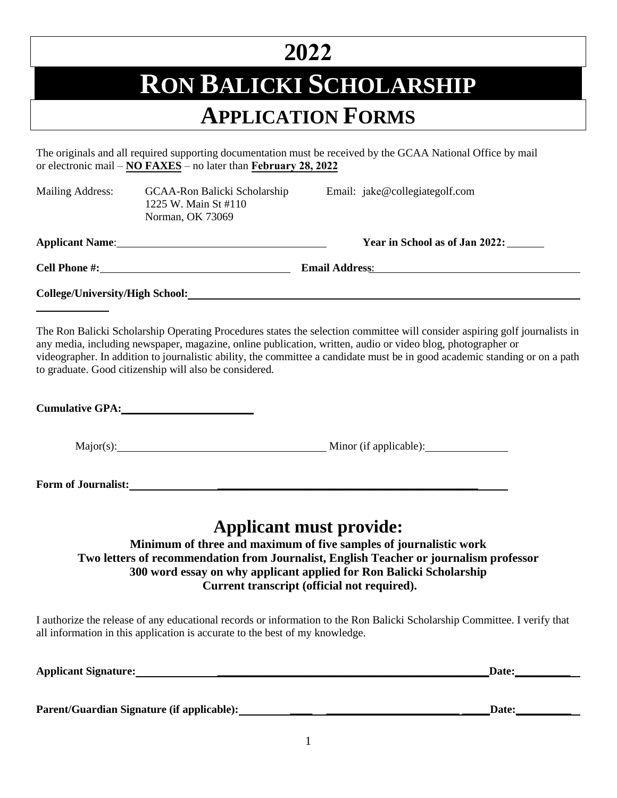## **2022**

## **RON BALICKI SCHOLARSHIP**

### **APPLICATION FORMS**

The originals and all required supporting documentation must be received by the GCAA National Office by mail or electronic mail – **NO FAXES** – no later than **February 28, 2022**

| <b>Mailing Address:</b>                | GCAA-Ron Balicki Scholarship<br>1225 W. Main St #110<br>Norman, OK 73069 |  | Email: jake@collegiategolf.com |  |
|----------------------------------------|--------------------------------------------------------------------------|--|--------------------------------|--|
|                                        | <b>Applicant Name:</b> Applicant Name:                                   |  | Year in School as of Jan 2022: |  |
|                                        | Cell Phone #:                                                            |  |                                |  |
| <b>College/University/High School:</b> |                                                                          |  |                                |  |

The Ron Balicki Scholarship Operating Procedures states the selection committee will consider aspiring golf journalists in any media, including newspaper, magazine, online publication, written, audio or video blog, photographer or videographer. In addition to journalistic ability, the committee a candidate must be in good academic standing or on a path to graduate. Good citizenship will also be considered.

|--|

Major(s): Major(s): Minor (if applicable): Minor (if applicable):

**Form of Journalist: \_\_\_\_\_\_\_\_\_\_\_\_\_\_\_\_\_\_\_\_\_\_\_\_\_\_\_\_\_\_\_\_\_\_\_\_\_\_\_\_\_\_\_\_\_\_\_** 

### **Applicant must provide:**

**Minimum of three and maximum of five samples of journalistic work Two letters of recommendation from Journalist, English Teacher or journalism professor 300 word essay on why applicant applied for Ron Balicki Scholarship Current transcript (official not required).** 

I authorize the release of any educational records or information to the Ron Balicki Scholarship Committee. I verify that all information in this application is accurate to the best of my knowledge.

|  | <b>Applicant Signature:</b> |
|--|-----------------------------|
|--|-----------------------------|

 $\blacksquare$ Date: $\blacksquare$ 

**Parent/Guardian Signature (if applicable): \_\_\_\_ \_\_\_\_\_\_\_\_\_\_\_\_\_\_\_\_\_\_\_\_\_\_\_\_ \_\_\_\_\_Date:\_\_\_\_\_\_\_\_\_\_**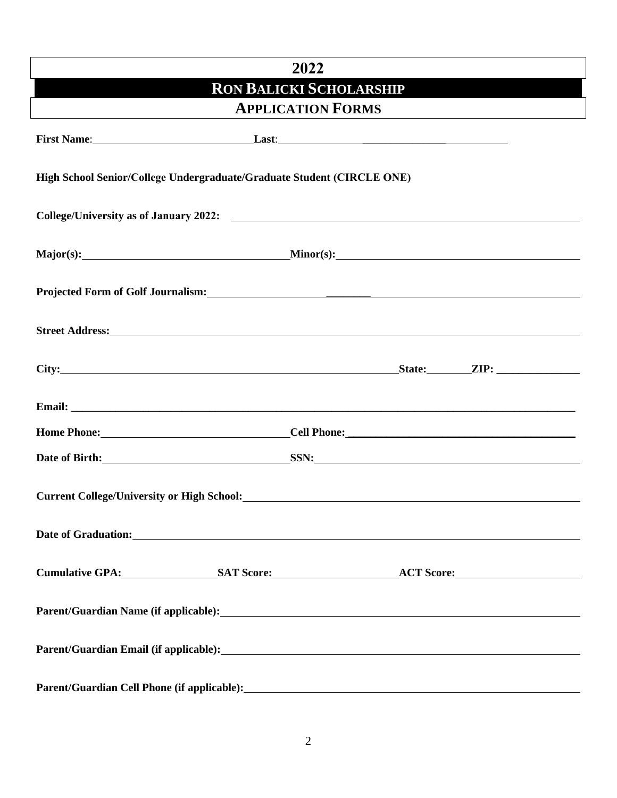# **2022 RON BALICKI SCHOLARSHIP APPLICATION FORMS First Name: Last: High School Senior/College Undergraduate/Graduate Student (CIRCLE ONE) College/University as of January 2022: Major(s): Minor(s): Projected Form of Golf Journalism:** \_\_\_\_\_\_\_\_ **Street Address:** City: **State: ZIP:**  $\overline{Z}$ **Email: \_\_\_\_\_\_\_\_\_\_\_\_\_\_\_\_\_\_\_\_\_\_\_\_\_\_\_\_\_\_\_\_\_\_\_\_\_\_\_\_\_\_\_\_\_\_\_\_\_\_\_\_\_\_\_\_\_\_\_\_\_\_\_\_\_\_\_\_\_\_\_\_\_\_\_\_\_\_\_\_\_\_\_\_\_\_\_\_\_\_\_ Home Phone: Cell Phone: Cell Phone: Cell Phone:**  $\blacksquare$ **Date of Birth:** SSN: SSN: **Current College/University or High School: Date of Graduation: Cumulative GPA: SAT Score: ACT Score: Parent/Guardian Name (if applicable): Parent/Guardian Email (if applicable): Parent/Guardian Cell Phone (if applicable):**